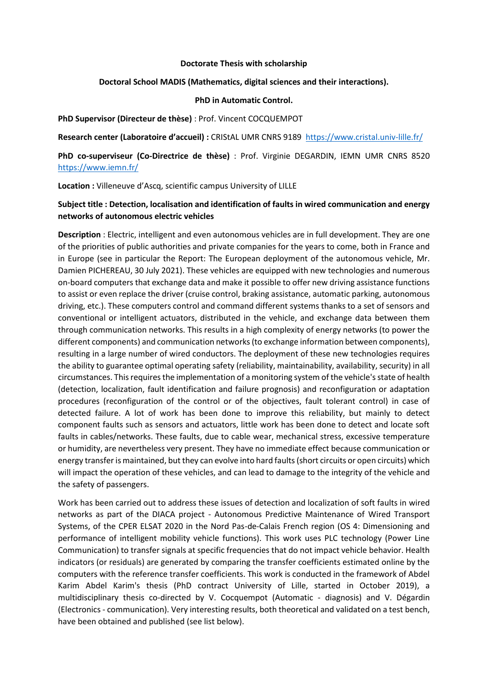#### **Doctorate Thesis with scholarship**

### **Doctoral School MADIS (Mathematics, digital sciences and their interactions).**

### **PhD in Automatic Control.**

**PhD Supervisor (Directeur de thèse)** : Prof. Vincent COCQUEMPOT

**Research center (Laboratoire d'accueil) :** CRIStAL UMR CNRS 9189 <https://www.cristal.univ-lille.fr/>

**PhD co-superviseur (Co-Directrice de thèse)** : Prof. Virginie DEGARDIN, IEMN UMR CNRS 8520 <https://www.iemn.fr/>

**Location :** Villeneuve d'Ascq, scientific campus University of LILLE

# **Subject title : Detection, localisation and identification of faults in wired communication and energy networks of autonomous electric vehicles**

**Description** : Electric, intelligent and even autonomous vehicles are in full development. They are one of the priorities of public authorities and private companies for the years to come, both in France and in Europe (see in particular the Report: The European deployment of the autonomous vehicle, Mr. Damien PICHEREAU, 30 July 2021). These vehicles are equipped with new technologies and numerous on-board computers that exchange data and make it possible to offer new driving assistance functions to assist or even replace the driver (cruise control, braking assistance, automatic parking, autonomous driving, etc.). These computers control and command different systems thanks to a set of sensors and conventional or intelligent actuators, distributed in the vehicle, and exchange data between them through communication networks. This results in a high complexity of energy networks (to power the different components) and communication networks (to exchange information between components), resulting in a large number of wired conductors. The deployment of these new technologies requires the ability to guarantee optimal operating safety (reliability, maintainability, availability, security) in all circumstances. This requires the implementation of a monitoring system of the vehicle's state of health (detection, localization, fault identification and failure prognosis) and reconfiguration or adaptation procedures (reconfiguration of the control or of the objectives, fault tolerant control) in case of detected failure. A lot of work has been done to improve this reliability, but mainly to detect component faults such as sensors and actuators, little work has been done to detect and locate soft faults in cables/networks. These faults, due to cable wear, mechanical stress, excessive temperature or humidity, are nevertheless very present. They have no immediate effect because communication or energy transfer is maintained, but they can evolve into hard faults (short circuits or open circuits) which will impact the operation of these vehicles, and can lead to damage to the integrity of the vehicle and the safety of passengers.

Work has been carried out to address these issues of detection and localization of soft faults in wired networks as part of the DIACA project - Autonomous Predictive Maintenance of Wired Transport Systems, of the CPER ELSAT 2020 in the Nord Pas-de-Calais French region (OS 4: Dimensioning and performance of intelligent mobility vehicle functions). This work uses PLC technology (Power Line Communication) to transfer signals at specific frequencies that do not impact vehicle behavior. Health indicators (or residuals) are generated by comparing the transfer coefficients estimated online by the computers with the reference transfer coefficients. This work is conducted in the framework of Abdel Karim Abdel Karim's thesis (PhD contract University of Lille, started in October 2019), a multidisciplinary thesis co-directed by V. Cocquempot (Automatic - diagnosis) and V. Dégardin (Electronics - communication). Very interesting results, both theoretical and validated on a test bench, have been obtained and published (see list below).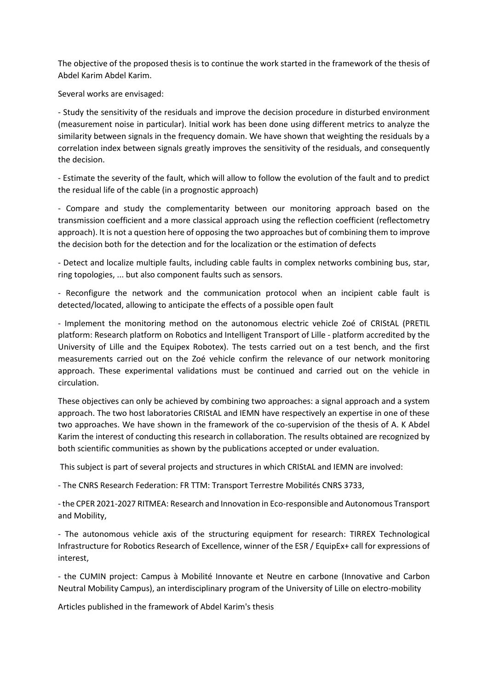The objective of the proposed thesis is to continue the work started in the framework of the thesis of Abdel Karim Abdel Karim.

Several works are envisaged:

- Study the sensitivity of the residuals and improve the decision procedure in disturbed environment (measurement noise in particular). Initial work has been done using different metrics to analyze the similarity between signals in the frequency domain. We have shown that weighting the residuals by a correlation index between signals greatly improves the sensitivity of the residuals, and consequently the decision.

- Estimate the severity of the fault, which will allow to follow the evolution of the fault and to predict the residual life of the cable (in a prognostic approach)

- Compare and study the complementarity between our monitoring approach based on the transmission coefficient and a more classical approach using the reflection coefficient (reflectometry approach). It is not a question here of opposing the two approaches but of combining them to improve the decision both for the detection and for the localization or the estimation of defects

- Detect and localize multiple faults, including cable faults in complex networks combining bus, star, ring topologies, ... but also component faults such as sensors.

- Reconfigure the network and the communication protocol when an incipient cable fault is detected/located, allowing to anticipate the effects of a possible open fault

- Implement the monitoring method on the autonomous electric vehicle Zoé of CRIStAL (PRETIL platform: Research platform on Robotics and Intelligent Transport of Lille - platform accredited by the University of Lille and the Equipex Robotex). The tests carried out on a test bench, and the first measurements carried out on the Zoé vehicle confirm the relevance of our network monitoring approach. These experimental validations must be continued and carried out on the vehicle in circulation.

These objectives can only be achieved by combining two approaches: a signal approach and a system approach. The two host laboratories CRIStAL and IEMN have respectively an expertise in one of these two approaches. We have shown in the framework of the co-supervision of the thesis of A. K Abdel Karim the interest of conducting this research in collaboration. The results obtained are recognized by both scientific communities as shown by the publications accepted or under evaluation.

This subject is part of several projects and structures in which CRIStAL and IEMN are involved:

- The CNRS Research Federation: FR TTM: Transport Terrestre Mobilités CNRS 3733,

- the CPER 2021-2027 RITMEA: Research and Innovation in Eco-responsible and Autonomous Transport and Mobility,

- The autonomous vehicle axis of the structuring equipment for research: TIRREX Technological Infrastructure for Robotics Research of Excellence, winner of the ESR / EquipEx+ call for expressions of interest,

- the CUMIN project: Campus à Mobilité Innovante et Neutre en carbone (Innovative and Carbon Neutral Mobility Campus), an interdisciplinary program of the University of Lille on electro-mobility

Articles published in the framework of Abdel Karim's thesis